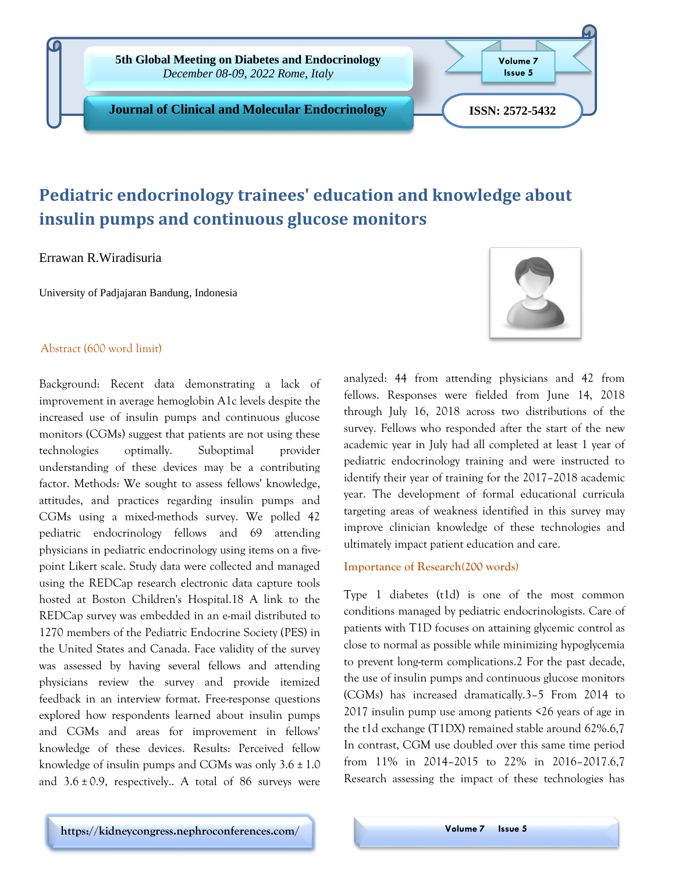

# **Pediatric endocrinology trainees' education and knowledge about insulin pumps and continuous glucose monitors**

Errawan R.Wiradisuria

University of Padjajaran Bandung, Indonesia

# Abstract (600 word limit)

Background: Recent data demonstrating a lack of improvement in average hemoglobin A1c levels despite the increased use of insulin pumps and continuous glucose monitors (CGMs) suggest that patients are not using these technologies optimally. Suboptimal provider understanding of these devices may be a contributing factor. Methods: We sought to assess fellows' knowledge, attitudes, and practices regarding insulin pumps and CGMs using a mixed-methods survey. We polled 42 pediatric endocrinology fellows and 69 attending physicians in pediatric endocrinology using items on a fivepoint Likert scale. Study data were collected and managed using the REDCap research electronic data capture tools hosted at Boston Children's Hospital.18 A link to the REDCap survey was embedded in an e-mail distributed to 1270 members of the Pediatric Endocrine Society (PES) in the United States and Canada. Face validity of the survey was assessed by having several fellows and attending physicians review the survey and provide itemized feedback in an interview format. Free-response questions explored how respondents learned about insulin pumps and CGMs and areas for improvement in fellows' knowledge of these devices. Results: Perceived fellow knowledge of insulin pumps and CGMs was only  $3.6 \pm 1.0$ and  $3.6 \pm 0.9$ , respectively.. A total of 86 surveys were

analyzed: 44 from attending physicians and 42 from fellows. Responses were fielded from June 14, 2018 through July 16, 2018 across two distributions of the survey. Fellows who responded after the start of the new academic year in July had all completed at least 1 year of pediatric endocrinology training and were instructed to identify their year of training for the 2017–2018 academic year. The development of formal educational curricula targeting areas of weakness identified in this survey may improve clinician knowledge of these technologies and ultimately impact patient education and care.

### **Importance of Research(200 words)**

Type 1 diabetes (t1d) is one of the most common conditions managed by pediatric endocrinologists. Care of patients with T1D focuses on attaining glycemic control as close to normal as possible while minimizing hypoglycemia to prevent long-term complications.2 For the past decade, the use of insulin pumps and continuous glucose monitors (CGMs) has increased dramatically.3–5 From 2014 to 2017 insulin pump use among patients <26 years of age in the t1d exchange (T1DX) remained stable around 62%.6,7 In contrast, CGM use doubled over this same time period from 11% in 2014–2015 to 22% in 2016–2017.6,7 Research assessing the impact of these technologies has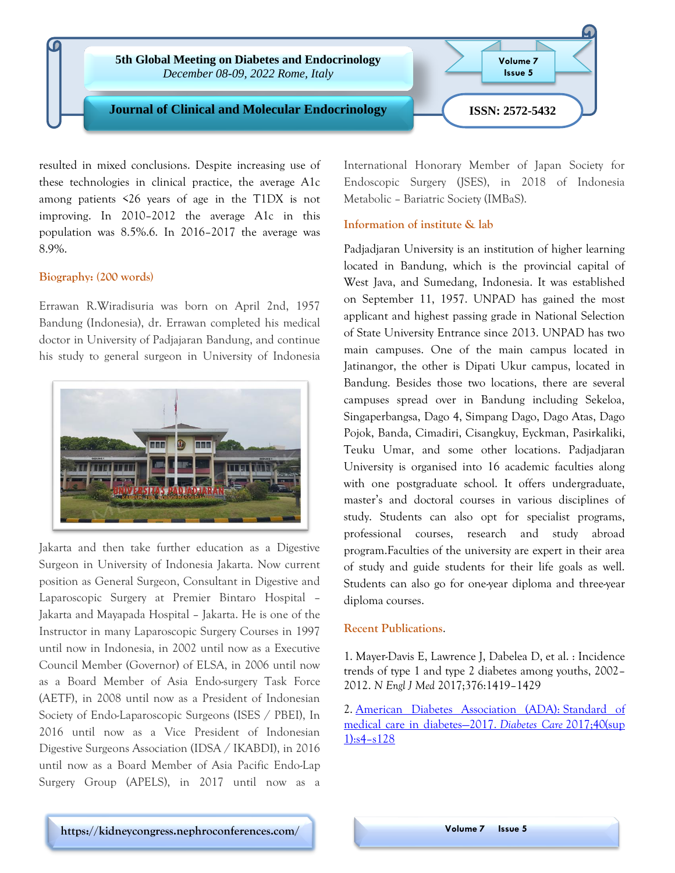

resulted in mixed conclusions. Despite increasing use of these technologies in clinical practice, the average A1c among patients <26 years of age in the T1DX is not improving. In 2010–2012 the average A1c in this population was 8.5%.6. In 2016–2017 the average was 8.9%.

## **Biography: (200 words)**

Errawan R.Wiradisuria was born on April 2nd, 1957 Bandung (Indonesia), dr. Errawan completed his medical doctor in University of Padjajaran Bandung, and continue his study to general surgeon in University of Indonesia



Jakarta and then take further education as a Digestive Surgeon in University of Indonesia Jakarta. Now current position as General Surgeon, Consultant in Digestive and Laparoscopic Surgery at Premier Bintaro Hospital – Jakarta and Mayapada Hospital – Jakarta. He is one of the Instructor in many Laparoscopic Surgery Courses in 1997 until now in Indonesia, in 2002 until now as a Executive Council Member (Governor) of ELSA, in 2006 until now as a Board Member of Asia Endo-surgery Task Force (AETF), in 2008 until now as a President of Indonesian Society of Endo-Laparoscopic Surgeons (ISES / PBEI), In 2016 until now as a Vice President of Indonesian Digestive Surgeons Association (IDSA / IKABDI), in 2016 until now as a Board Member of Asia Pacific Endo-Lap Surgery Group (APELS), in 2017 until now as a

International Honorary Member of Japan Society for Endoscopic Surgery (JSES), in 2018 of Indonesia Metabolic – Bariatric Society (IMBaS).

# **Information of institute & lab**

Padjadjaran University is an institution of higher learning located in Bandung, which is the provincial capital of West Java, and Sumedang, Indonesia. It was established on September 11, 1957. UNPAD has gained the most applicant and highest passing grade in National Selection of State University Entrance since 2013. UNPAD has two main campuses. One of the main campus located in Jatinangor, the other is Dipati Ukur campus, located in Bandung. Besides those two locations, there are several campuses spread over in Bandung including Sekeloa, Singaperbangsa, Dago 4, Simpang Dago, Dago Atas, Dago Pojok, Banda, Cimadiri, Cisangkuy, Eyckman, Pasirkaliki, Teuku Umar, and some other locations. Padjadjaran University is organised into 16 academic faculties along with one postgraduate school. It offers undergraduate, master's and doctoral courses in various disciplines of study. Students can also opt for specialist programs, professional courses, research and study abroad program.Faculties of the university are expert in their area of study and guide students for their life goals as well. Students can also go for one-year diploma and three-year diploma courses.

### **Recent Publications**.

1. Mayer-Davis E, Lawrence J, Dabelea D, et al. : Incidence trends of type 1 and type 2 diabetes among youths, 2002– 2012. *N Engl J Med* 2017;376:1419–1429

2. [American Diabetes Association \(ADA\):](mailto:https://clinical-and-molecular-endocrinology.imedpub.com/archive.php) Standard of [medical care in diabetes](mailto:https://clinical-and-molecular-endocrinology.imedpub.com/archive.php)—2017. *Diabetes Care* 2017;40(sup [1\):s4](mailto:https://clinical-and-molecular-endocrinology.imedpub.com/archive.php)–s128